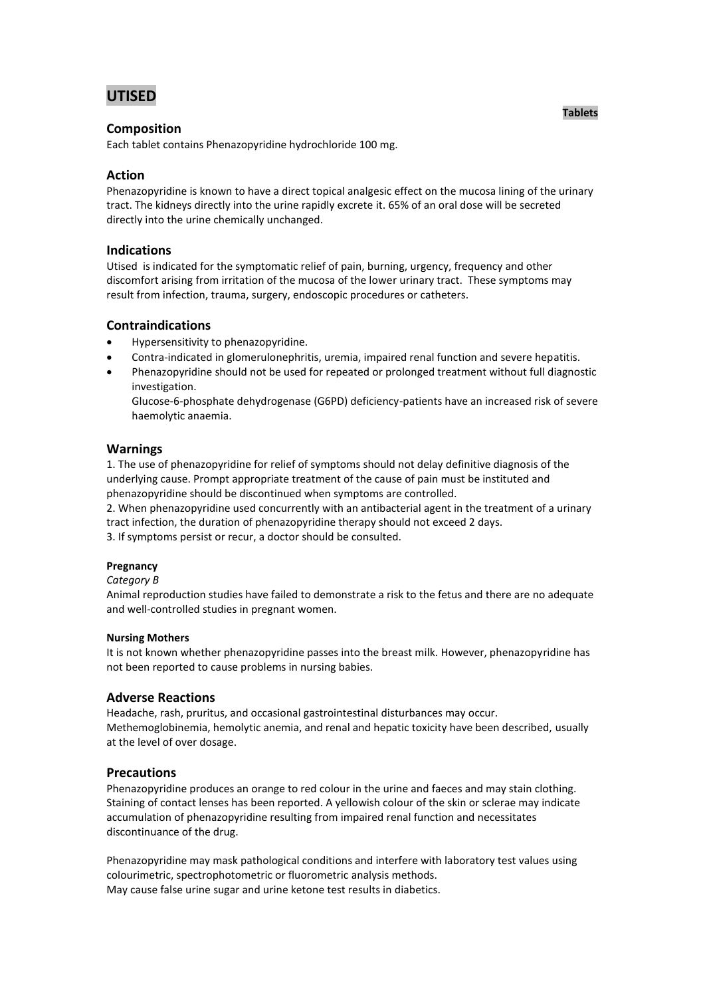# **UTISED**

## **Composition**

Each tablet contains Phenazopyridine hydrochloride 100 mg.

## **Action**

Phenazopyridine is known to have a direct topical analgesic effect on the mucosa lining of the urinary tract. The kidneys directly into the urine rapidly excrete it. 65% of an oral dose will be secreted directly into the urine chemically unchanged.

### **Indications**

Utised is indicated for the symptomatic relief of pain, burning, urgency, frequency and other discomfort arising from irritation of the mucosa of the lower urinary tract. These symptoms may result from infection, trauma, surgery, endoscopic procedures or catheters.

## **Contraindications**

- Hypersensitivity to phenazopyridine.
- Contra-indicated in glomerulonephritis, uremia, impaired renal function and severe hepatitis.
- Phenazopyridine should not be used for repeated or prolonged treatment without full diagnostic investigation.

Glucose-6-phosphate dehydrogenase (G6PD) deficiency-patients have an increased risk of severe haemolytic anaemia.

## **Warnings**

1. The use of phenazopyridine for relief of symptoms should not delay definitive diagnosis of the underlying cause. Prompt appropriate treatment of the cause of pain must be instituted and phenazopyridine should be discontinued when symptoms are controlled.

2. When phenazopyridine used concurrently with an antibacterial agent in the treatment of a urinary tract infection, the duration of phenazopyridine therapy should not exceed 2 days.

3. If symptoms persist or recur, a doctor should be consulted.

### **Pregnancy**

#### *Category B*

Animal reproduction studies have failed to demonstrate a risk to the fetus and there are no adequate and well-controlled studies in pregnant women.

#### **Nursing Mothers**

It is not known whether phenazopyridine passes into the breast milk. However, phenazopyridine has not been reported to cause problems in nursing babies.

### **Adverse Reactions**

Headache, rash, pruritus, and occasional gastrointestinal disturbances may occur. Methemoglobinemia, hemolytic anemia, and renal and hepatic toxicity have been described, usually at the level of over dosage.

## **Precautions**

Phenazopyridine produces an orange to red colour in the urine and faeces and may stain clothing. Staining of contact lenses has been reported. A yellowish colour of the skin or sclerae may indicate accumulation of phenazopyridine resulting from impaired renal function and necessitates discontinuance of the drug.

Phenazopyridine may mask pathological conditions and interfere with laboratory test values using colourimetric, spectrophotometric or fluorometric analysis methods. May cause false urine sugar and urine ketone test results in diabetics.

**Tablets**